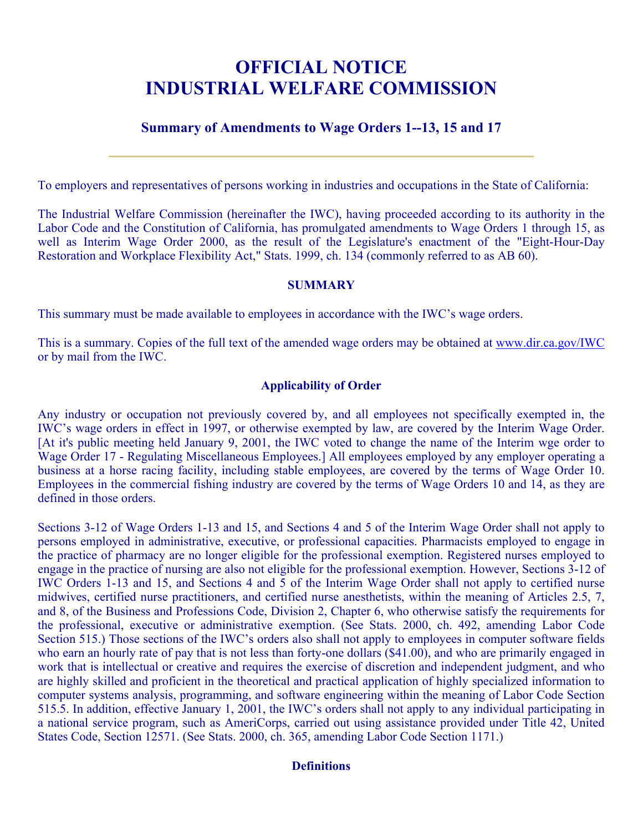# **OFFICIAL NOTICE INDUSTRIAL WELFARE COMMISSION**

# **Summary of Amendments to Wage Orders 1--13, 15 and 17**

To employers and representatives of persons working in industries and occupations in the State of California:

The Industrial Welfare Commission (hereinafter the IWC), having proceeded according to its authority in the Labor Code and the Constitution of California, has promulgated amendments to Wage Orders 1 through 15, as well as Interim Wage Order 2000, as the result of the Legislature's enactment of the "Eight-Hour-Day Restoration and Workplace Flexibility Act," Stats. 1999, ch. 134 (commonly referred to as AB 60).

## **SUMMARY**

This summary must be made available to employees in accordance with the IWC's wage orders.

This is a summary. Copies of the full text of the amended wage orders may be obtained at [www.dir.ca.gov/IWC](https://www.dir.ca.gov/IWC)  or by mail from the IWC.

## **Applicability of Order**

Any industry or occupation not previously covered by, and all employees not specifically exempted in, the IWC's wage orders in effect in 1997, or otherwise exempted by law, are covered by the Interim Wage Order. [At it's public meeting held January 9, 2001, the IWC voted to change the name of the Interim wge order to Wage Order 17 - Regulating Miscellaneous Employees.] All employees employed by any employer operating a business at a horse racing facility, including stable employees, are covered by the terms of Wage Order 10. Employees in the commercial fishing industry are covered by the terms of Wage Orders 10 and 14, as they are defined in those orders.

Sections 3-12 of Wage Orders 1-13 and 15, and Sections 4 and 5 of the Interim Wage Order shall not apply to persons employed in administrative, executive, or professional capacities. Pharmacists employed to engage in the practice of pharmacy are no longer eligible for the professional exemption. Registered nurses employed to engage in the practice of nursing are also not eligible for the professional exemption. However, Sections 3-12 of IWC Orders 1-13 and 15, and Sections 4 and 5 of the Interim Wage Order shall not apply to certified nurse midwives, certified nurse practitioners, and certified nurse anesthetists, within the meaning of Articles 2.5, 7, and 8, of the Business and Professions Code, Division 2, Chapter 6, who otherwise satisfy the requirements for the professional, executive or administrative exemption. (See Stats. 2000, ch. 492, amending Labor Code Section 515.) Those sections of the IWC's orders also shall not apply to employees in computer software fields who earn an hourly rate of pay that is not less than forty-one dollars (\$41.00), and who are primarily engaged in work that is intellectual or creative and requires the exercise of discretion and independent judgment, and who are highly skilled and proficient in the theoretical and practical application of highly specialized information to computer systems analysis, programming, and software engineering within the meaning of Labor Code Section 515.5. In addition, effective January 1, 2001, the IWC's orders shall not apply to any individual participating in a national service program, such as AmeriCorps, carried out using assistance provided under Title 42, United States Code, Section 12571. (See Stats. 2000, ch. 365, amending Labor Code Section 1171.)

#### **Definitions**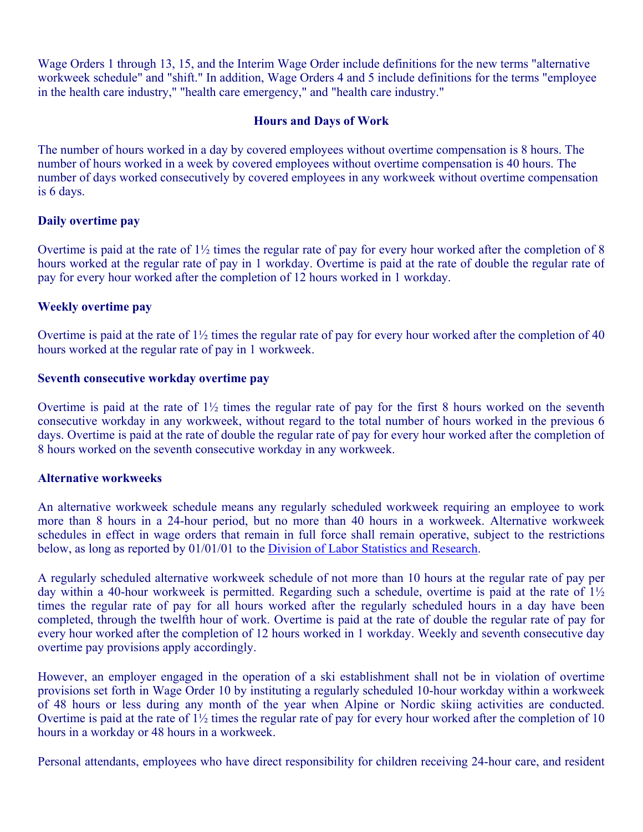Wage Orders 1 through 13, 15, and the Interim Wage Order include definitions for the new terms "alternative workweek schedule" and "shift." In addition, Wage Orders 4 and 5 include definitions for the terms "employee in the health care industry," "health care emergency," and "health care industry."

# **Hours and Days of Work**

The number of hours worked in a day by covered employees without overtime compensation is 8 hours. The number of hours worked in a week by covered employees without overtime compensation is 40 hours. The number of days worked consecutively by covered employees in any workweek without overtime compensation is 6 days.

# **Daily overtime pay**

Overtime is paid at the rate of 1½ times the regular rate of pay for every hour worked after the completion of 8 hours worked at the regular rate of pay in 1 workday. Overtime is paid at the rate of double the regular rate of pay for every hour worked after the completion of 12 hours worked in 1 workday.

# **Weekly overtime pay**

Overtime is paid at the rate of 1½ times the regular rate of pay for every hour worked after the completion of 40 hours worked at the regular rate of pay in 1 workweek.

## **Seventh consecutive workday overtime pay**

Overtime is paid at the rate of  $1\frac{1}{2}$  times the regular rate of pay for the first 8 hours worked on the seventh consecutive workday in any workweek, without regard to the total number of hours worked in the previous 6 days. Overtime is paid at the rate of double the regular rate of pay for every hour worked after the completion of 8 hours worked on the seventh consecutive workday in any workweek.

## **Alternative workweeks**

An alternative workweek schedule means any regularly scheduled workweek requiring an employee to work more than 8 hours in a 24-hour period, but no more than 40 hours in a workweek. Alternative workweek schedules in effect in wage orders that remain in full force shall remain operative, subject to the restrictions below, as long as reported by 01/01/01 to the Division of Labor Statistics and Research.

A regularly scheduled alternative workweek schedule of not more than 10 hours at the regular rate of pay per day within a 40-hour workweek is permitted. Regarding such a schedule, overtime is paid at the rate of  $1\frac{1}{2}$ times the regular rate of pay for all hours worked after the regularly scheduled hours in a day have been completed, through the twelfth hour of work. Overtime is paid at the rate of double the regular rate of pay for every hour worked after the completion of 12 hours worked in 1 workday. Weekly and seventh consecutive day overtime pay provisions apply accordingly.

However, an employer engaged in the operation of a ski establishment shall not be in violation of overtime provisions set forth in Wage Order 10 by instituting a regularly scheduled 10-hour workday within a workweek of 48 hours or less during any month of the year when Alpine or Nordic skiing activities are conducted. Overtime is paid at the rate of 1½ times the regular rate of pay for every hour worked after the completion of 10 hours in a workday or 48 hours in a workweek.

Personal attendants, employees who have direct responsibility for children receiving 24-hour care, and resident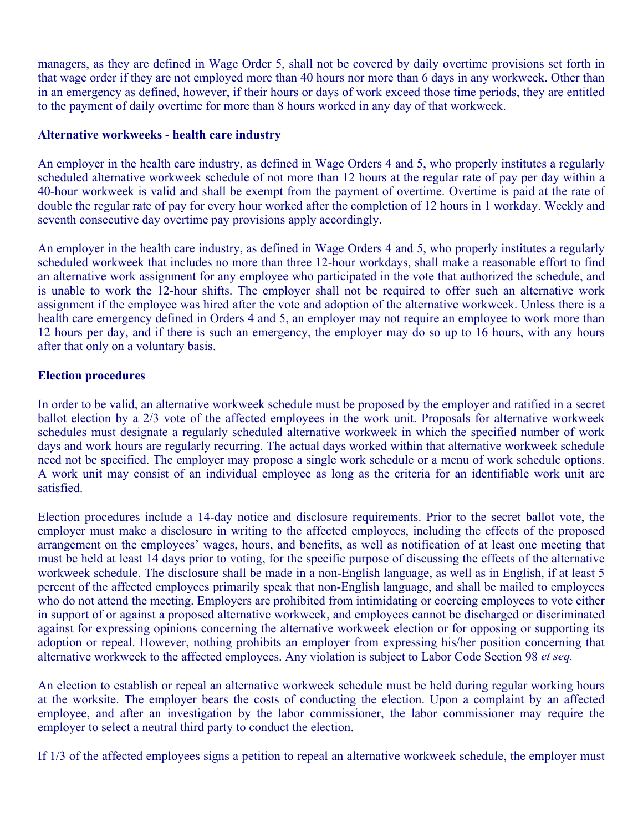managers, as they are defined in Wage Order 5, shall not be covered by daily overtime provisions set forth in that wage order if they are not employed more than 40 hours nor more than 6 days in any workweek. Other than in an emergency as defined, however, if their hours or days of work exceed those time periods, they are entitled to the payment of daily overtime for more than 8 hours worked in any day of that workweek.

## **Alternative workweeks - health care industry**

An employer in the health care industry, as defined in Wage Orders 4 and 5, who properly institutes a regularly scheduled alternative workweek schedule of not more than 12 hours at the regular rate of pay per day within a 40-hour workweek is valid and shall be exempt from the payment of overtime. Overtime is paid at the rate of double the regular rate of pay for every hour worked after the completion of 12 hours in 1 workday. Weekly and seventh consecutive day overtime pay provisions apply accordingly.

An employer in the health care industry, as defined in Wage Orders 4 and 5, who properly institutes a regularly scheduled workweek that includes no more than three 12-hour workdays, shall make a reasonable effort to find an alternative work assignment for any employee who participated in the vote that authorized the schedule, and is unable to work the 12-hour shifts. The employer shall not be required to offer such an alternative work assignment if the employee was hired after the vote and adoption of the alternative workweek. Unless there is a health care emergency defined in Orders 4 and 5, an employer may not require an employee to work more than 12 hours per day, and if there is such an emergency, the employer may do so up to 16 hours, with any hours after that only on a voluntary basis.

# **Election procedures**

In order to be valid, an alternative workweek schedule must be proposed by the employer and ratified in a secret ballot election by a 2/3 vote of the affected employees in the work unit. Proposals for alternative workweek schedules must designate a regularly scheduled alternative workweek in which the specified number of work days and work hours are regularly recurring. The actual days worked within that alternative workweek schedule need not be specified. The employer may propose a single work schedule or a menu of work schedule options. A work unit may consist of an individual employee as long as the criteria for an identifiable work unit are satisfied.

Election procedures include a 14-day notice and disclosure requirements. Prior to the secret ballot vote, the employer must make a disclosure in writing to the affected employees, including the effects of the proposed arrangement on the employees' wages, hours, and benefits, as well as notification of at least one meeting that must be held at least 14 days prior to voting, for the specific purpose of discussing the effects of the alternative workweek schedule. The disclosure shall be made in a non-English language, as well as in English, if at least 5 percent of the affected employees primarily speak that non-English language, and shall be mailed to employees who do not attend the meeting. Employers are prohibited from intimidating or coercing employees to vote either in support of or against a proposed alternative workweek, and employees cannot be discharged or discriminated against for expressing opinions concerning the alternative workweek election or for opposing or supporting its adoption or repeal. However, nothing prohibits an employer from expressing his/her position concerning that alternative workweek to the affected employees. Any violation is subject to Labor Code Section 98 *et seq.* 

An election to establish or repeal an alternative workweek schedule must be held during regular working hours at the worksite. The employer bears the costs of conducting the election. Upon a complaint by an affected employee, and after an investigation by the labor commissioner, the labor commissioner may require the employer to select a neutral third party to conduct the election.

If 1/3 of the affected employees signs a petition to repeal an alternative workweek schedule, the employer must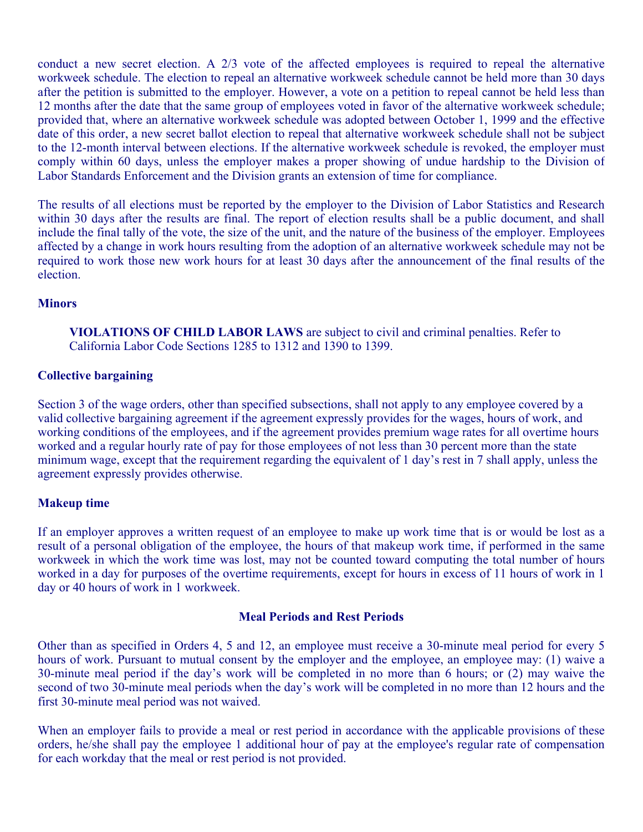conduct a new secret election. A 2/3 vote of the affected employees is required to repeal the alternative workweek schedule. The election to repeal an alternative workweek schedule cannot be held more than 30 days after the petition is submitted to the employer. However, a vote on a petition to repeal cannot be held less than 12 months after the date that the same group of employees voted in favor of the alternative workweek schedule; provided that, where an alternative workweek schedule was adopted between October 1, 1999 and the effective date of this order, a new secret ballot election to repeal that alternative workweek schedule shall not be subject to the 12-month interval between elections. If the alternative workweek schedule is revoked, the employer must comply within 60 days, unless the employer makes a proper showing of undue hardship to the Division of Labor Standards Enforcement and the Division grants an extension of time for compliance.

The results of all elections must be reported by the employer to the Division of Labor Statistics and Research within 30 days after the results are final. The report of election results shall be a public document, and shall include the final tally of the vote, the size of the unit, and the nature of the business of the employer. Employees affected by a change in work hours resulting from the adoption of an alternative workweek schedule may not be required to work those new work hours for at least 30 days after the announcement of the final results of the election.

## **Minors**

**VIOLATIONS OF CHILD LABOR LAWS** are subject to civil and criminal penalties. Refer to California Labor Code Sections 1285 to 1312 and 1390 to 1399.

## **Collective bargaining**

Section 3 of the wage orders, other than specified subsections, shall not apply to any employee covered by a valid collective bargaining agreement if the agreement expressly provides for the wages, hours of work, and working conditions of the employees, and if the agreement provides premium wage rates for all overtime hours worked and a regular hourly rate of pay for those employees of not less than 30 percent more than the state minimum wage, except that the requirement regarding the equivalent of 1 day's rest in 7 shall apply, unless the agreement expressly provides otherwise.

#### **Makeup time**

If an employer approves a written request of an employee to make up work time that is or would be lost as a result of a personal obligation of the employee, the hours of that makeup work time, if performed in the same workweek in which the work time was lost, may not be counted toward computing the total number of hours worked in a day for purposes of the overtime requirements, except for hours in excess of 11 hours of work in 1 day or 40 hours of work in 1 workweek.

#### **Meal Periods and Rest Periods**

Other than as specified in Orders 4, 5 and 12, an employee must receive a 30-minute meal period for every 5 hours of work. Pursuant to mutual consent by the employer and the employee, an employee may: (1) waive a 30-minute meal period if the day's work will be completed in no more than 6 hours; or (2) may waive the second of two 30-minute meal periods when the day's work will be completed in no more than 12 hours and the first 30-minute meal period was not waived.

When an employer fails to provide a meal or rest period in accordance with the applicable provisions of these orders, he/she shall pay the employee 1 additional hour of pay at the employee's regular rate of compensation for each workday that the meal or rest period is not provided.